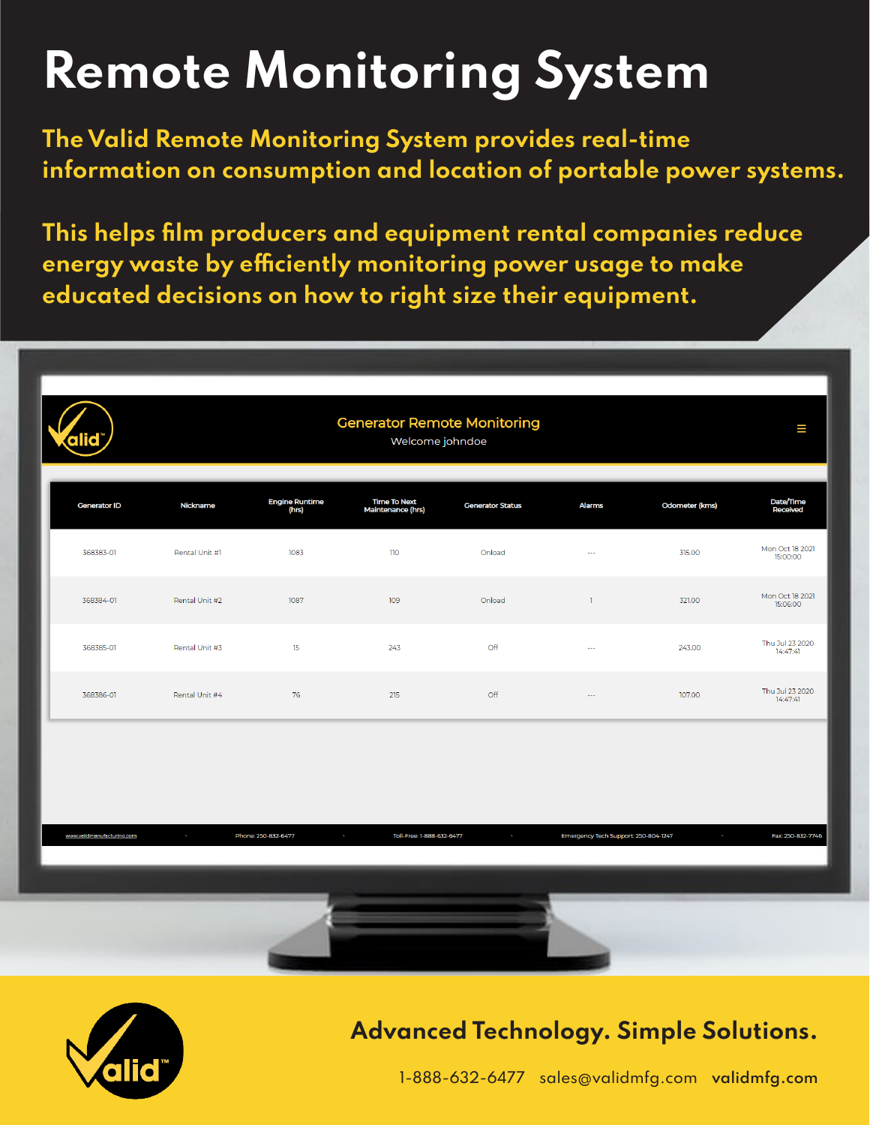# **Remote Monitoring System**

**The Valid Remote Monitoring System provides real-time information on consumption and location of portable power systems.** 

**This helps film producers and equipment rental companies reduce energy waste by efficiently monitoring power usage to make educated decisions on how to right size their equipment.** 

| <b>Generator Remote Monitoring</b><br>$\equiv$<br>Welcome johndoe |                |                         |                                                          |                         |                                      |                |                             |
|-------------------------------------------------------------------|----------------|-------------------------|----------------------------------------------------------|-------------------------|--------------------------------------|----------------|-----------------------------|
| <b>Generator ID</b>                                               | Nickname       | Engine Runtime<br>(hrs) | Time To Next<br>Maintenance (hrs)                        | <b>Generator Status</b> | <b>Alarms</b>                        | Odometer (kms) | Date/Time<br>Received       |
| 368383-01                                                         | Rental Unit #1 | 1083                    | 110                                                      | Onload                  | $\sim$                               | 315.00         | Mon Oct 18 2021<br>15:00:00 |
| 368384-01                                                         | Rental Unit #2 | 1087                    | 109                                                      | Onload                  | $\mathbf{1}$                         | 321.00         | Mon Oct 18 2021<br>15:06:00 |
| 368385-01                                                         | Rental Unit #3 | 15                      | 243                                                      | Off                     | $\sim$                               | 243.00         | Thu Jul 23 2020<br>14:47:41 |
| 368386-01                                                         | Rental Unit #4 | 76                      | 215                                                      | Off                     | ---                                  | 107.00         | Thu Jul 23 2020<br>14:47:41 |
|                                                                   |                |                         |                                                          |                         |                                      |                |                             |
|                                                                   |                |                         |                                                          |                         |                                      |                |                             |
| www.validmanufacturing.com                                        | $\sim$         | Phone: 250-832-6477     | $\mathcal{A}^{\mathcal{A}}$<br>Toll-Free: 1-888-632-6477 | $\sim$                  | Emergency Tech Support: 250-804-1247 | $\sim$         | Fax: 250-832-7746           |
|                                                                   |                |                         |                                                          |                         |                                      |                |                             |
|                                                                   |                |                         |                                                          |                         |                                      |                |                             |



## **Advanced Technology. Simple Solutions.**

1-888-632-6477 sales@validmfg.com **validmfg.com**